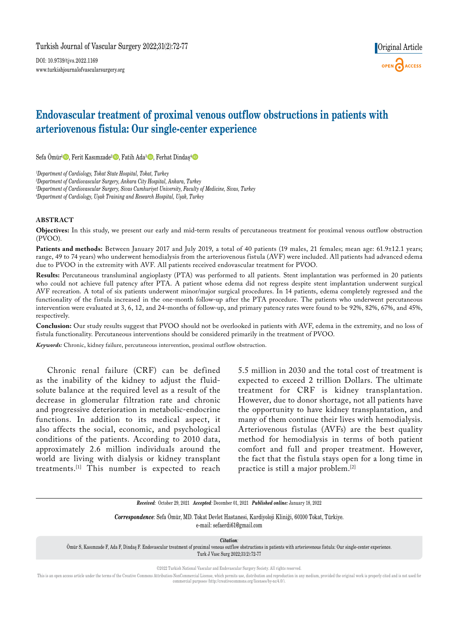DOI: 10.9739/tjvs.2022.1169 www.turkishjournalofvascularsurgery.org



# **Endovascular treatment of proximal venous outflow obstructions in patients with arteriovenous fistula: Our single-center experience**

Sefa Ömür<sup>1</sup> D, Ferit Kasımzade<sup>2</sup> D, Fatih Ada<sup>3</sup> D, Ferhat Dindaş<sup>4</sup> D

*1 Department of Cardiology, Tokat State Hospital, Tokat, Turkey*

*2 Department of Cardiovascular Surgery, Ankara City Hospital, Ankara, Turkey 3 Department of Cardiovascular Surgery, Sivas Cumhuriyet University, Faculty of Medicine, Sivas, Turkey 4 Department of Cardiology, Uşak Training and Research Hospital, Uşak, Turkey*

#### **ABSTRACT**

**Objectives:** In this study, we present our early and mid-term results of percutaneous treatment for proximal venous outflow obstruction (PVOO).

Patients and methods: Between January 2017 and July 2019, a total of 40 patients (19 males, 21 females; mean age: 61.9±12.1 years; range, 49 to 74 years) who underwent hemodialysis from the arteriovenous fistula (AVF) were included. All patients had advanced edema due to PVOO in the extremity with AVF. All patients received endovascular treatment for PVOO.

**Results:** Percutaneous transluminal angioplasty (PTA) was performed to all patients. Stent implantation was performed in 20 patients who could not achieve full patency after PTA. A patient whose edema did not regress despite stent implantation underwent surgical AVF recreation. A total of six patients underwent minor/major surgical procedures. In 14 patients, edema completely regressed and the functionality of the fistula increased in the one-month follow-up after the PTA procedure. The patients who underwent percutaneous intervention were evaluated at 3, 6, 12, and 24-months of follow-up, and primary patency rates were found to be 92%, 82%, 67%, and 45%, respectively.

**Conclusion:** Our study results suggest that PVOO should not be overlooked in patients with AVF, edema in the extremity, and no loss of fistula functionality. Percutaneous interventions should be considered primarily in the treatment of PVOO.

*Keywords:* Chronic, kidney failure, percutaneous intervention, proximal outflow obstruction.

Chronic renal failure (CRF) can be defined as the inability of the kidney to adjust the fluidsolute balance at the required level as a result of the decrease in glomerular filtration rate and chronic and progressive deterioration in metabolic-endocrine functions. In addition to its medical aspect, it also affects the social, economic, and psychological conditions of the patients. According to 2010 data, approximately 2.6 million individuals around the world are living with dialysis or kidney transplant treatments.[1] This number is expected to reach 5.5 million in 2030 and the total cost of treatment is expected to exceed 2 trillion Dollars. The ultimate treatment for CRF is kidney transplantation. However, due to donor shortage, not all patients have the opportunity to have kidney transplantation, and many of them continue their lives with hemodialysis. Arteriovenous fistulas (AVFs) are the best quality method for hemodialysis in terms of both patient comfort and full and proper treatment. However, the fact that the fistula stays open for a long time in practice is still a major problem.[2]

*Received:* October 29, 2021 *Accepted:* December 01, 2021 *Published online:* January 18, 2022

*Correspondence:* Sefa Ömür, MD. Tokat Devlet Hastanesi, Kardiyoloji Kliniği, 60100 Tokat, Türkiye. e-mail: sefaerdi61@gmail.com

*Citation:*

Ömür S, Kasımzade F, Ada F, Dindaş F. Endovascular treatment of proximal venous outflow obstructions in patients with arteriovenous fistula: Our single-center experience. Turk J Vasc Surg 2022;31(2):72-77

©2022 Turkish National Vascular and Endovascular Surgery Society. All rights reserved.

This is an open access article under the terms of the Creative Commons Attribution-NonCommercial License, which permits use, distribution and reproduction in any medium, provided the original work is properly cited and is commercial purposes (http://creativecommons.org/licenses/by-nc/4.0/).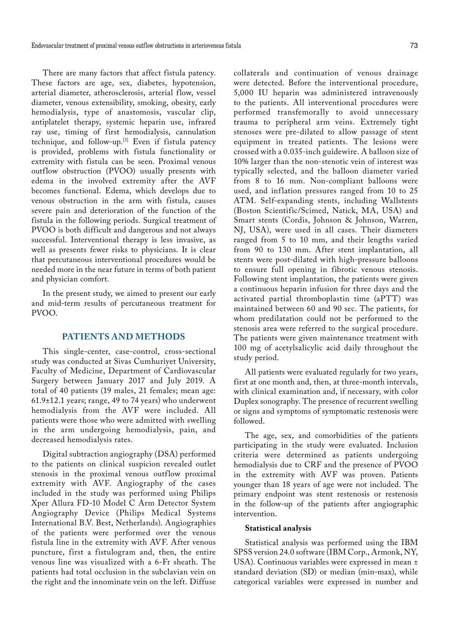There are many factors that affect fistula patency. These factors are age, sex, diabetes, hypotension, arterial diameter, atherosclerosis, arterial flow, vessel diameter, venous extensibility, smoking, obesity, early hemodialysis, type of anastomosis, vascular clip, antiplatelet therapy, systemic heparin use, infrared ray use, timing of first hemodialysis, cannulation technique, and follow-up.[3] Even if fistula patency is provided, problems with fistula functionality or extremity with fistula can be seen. Proximal venous outflow obstruction (PVOO) usually presents with edema in the involved extremity after the AVF becomes functional. Edema, which develops due to venous obstruction in the arm with fistula, causes severe pain and deterioration of the function of the fistula in the following periods. Surgical treatment of PVOO is both difficult and dangerous and not always successful. Interventional therapy is less invasive, as well as presents fewer risks to physicians. It is clear that percutaneous interventional procedures would be needed more in the near future in terms of both patient and physician comfort.

In the present study, we aimed to present our early and mid-term results of percutaneous treatment for PVOO.

### **PATIENTS AND METHODS**

This single-center, case-control, cross-sectional study was conducted at Sivas Cumhuriyet University, Faculty of Medicine, Department of Cardiovascular Surgery between January 2017 and July 2019. A total of 40 patients (19 males, 21 females; mean age: 61.9±12.1 years; range, 49 to 74 years) who underwent hemodialysis from the AVF were included. All patients were those who were admitted with swelling in the arm undergoing hemodialysis, pain, and decreased hemodialysis rates.

Digital subtraction angiography (DSA) performed to the patients on clinical suspicion revealed outlet stenosis in the proximal venous outflow proximal extremity with AVF. Angiography of the cases included in the study was performed using Philips Xper Allura FD-10 Model C Arm Detector System Angiography Device (Philips Medical Systems International B.V. Best, Netherlands). Angiographies of the patients were performed over the venous fistula line in the extremity with AVF. After venous puncture, first a fistulogram and, then, the entire venous line was visualized with a 6-Fr sheath. The patients had total occlusion in the subclavian vein on the right and the innominate vein on the left. Diffuse

collaterals and continuation of venous drainage were detected. Before the interventional procedure, 5,000 IU heparin was administered intravenously to the patients. All interventional procedures were performed transfemorally to avoid unnecessary trauma to peripheral arm veins. Extremely tight stenoses were pre-dilated to allow passage of stent equipment in treated patients. The lesions were crossed with a 0.035-inch guidewire. A balloon size of 10% larger than the non-stenotic vein of interest was typically selected, and the balloon diameter varied from 8 to 16 mm. Non-compliant balloons were used, and inflation pressures ranged from 10 to 25 ATM. Self-expanding stents, including Wallstents (Boston Scientific/Scimed, Natick, MA, USA) and Smart stents (Cordis, Johnson & Johnson, Warren, NJ, USA), were used in all cases. Their diameters ranged from 5 to 10 mm, and their lengths varied from 90 to 130 mm. After stent implantation, all stents were post-dilated with high-pressure balloons to ensure full opening in fibrotic venous stenosis. Following stent implantation, the patients were given a continuous heparin infusion for three days and the activated partial thromboplastin time (aPTT) was maintained between 60 and 90 sec. The patients, for whom predilatation could not be performed to the stenosis area were referred to the surgical procedure. The patients were given maintenance treatment with 100 mg of acetylsalicylic acid daily throughout the study period.

All patients were evaluated regularly for two years, first at one month and, then, at three-month intervals, with clinical examination and, if necessary, with color Duplex sonography. The presence of recurrent swelling or signs and symptoms of symptomatic restenosis were followed.

The age, sex, and comorbidities of the patients participating in the study were evaluated. Inclusion criteria were determined as patients undergoing hemodialysis due to CRF and the presence of PVOO in the extremity with AVF was proven. Patients younger than 18 years of age were not included. The primary endpoint was stent restenosis or restenosis in the follow-up of the patients after angiographic intervention.

#### **Statistical analysis**

Statistical analysis was performed using the IBM SPSS version 24.0 software (IBM Corp., Armonk, NY, USA). Continuous variables were expressed in mean ± standard deviation (SD) or median (min-max), while categorical variables were expressed in number and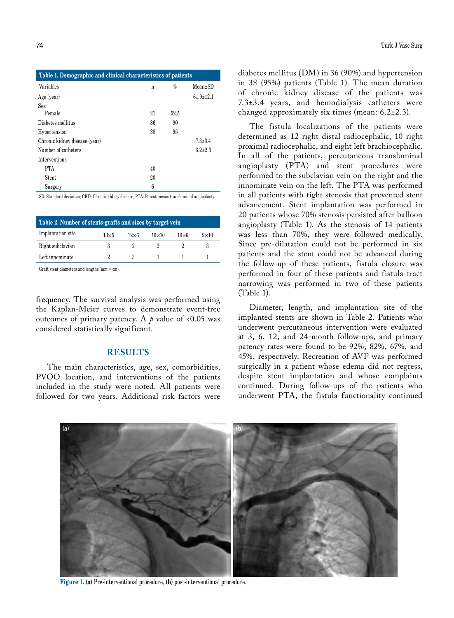| Table 1. Demographic and clinical characteristics of patients |    |      |                 |  |  |
|---------------------------------------------------------------|----|------|-----------------|--|--|
| Variables                                                     | n  | $\%$ | $Mean \pm SD$   |  |  |
| Age (year)                                                    |    |      | $61.9 \pm 12.1$ |  |  |
| <b>Sex</b>                                                    |    |      |                 |  |  |
| Female                                                        | 21 | 52.5 |                 |  |  |
| Diabetes mellitus                                             | 36 | 90   |                 |  |  |
| Hypertension                                                  | 38 | 95   |                 |  |  |
| Chronic kidney disease (year)                                 |    |      | $7.3 \pm 3.4$   |  |  |
| Number of catheters                                           |    |      | $6.2 \pm 2.3$   |  |  |
| Interventions                                                 |    |      |                 |  |  |
| <b>PTA</b>                                                    | 40 |      |                 |  |  |
| Stent                                                         | 20 |      |                 |  |  |
| Surgery                                                       | 6  |      |                 |  |  |

SD: Standard deviation; CKD: Chronic kidney disease; PTA: Percutaneous transluminal angioplasty.

| Table 2. Number of stents-grafts and sizes by target vein |              |              |              |              |             |
|-----------------------------------------------------------|--------------|--------------|--------------|--------------|-------------|
| Implantation site                                         | $13\times 5$ | $12\times 6$ | $10\times10$ | $10\times 6$ | $9\times10$ |
| Right subclavian                                          |              |              |              |              |             |
| Left innominate                                           |              |              |              |              |             |
|                                                           |              |              |              |              |             |

Graft stent diameters and lengths ( $mm \times cm$ ).

frequency. The survival analysis was performed using the Kaplan-Meier curves to demonstrate event-free outcomes of primary patency. A  $\rho$  value of <0.05 was considered statistically significant.

## **RESULTS**

The main characteristics, age, sex, comorbidities, PVOO location, and interventions of the patients included in the study were noted. All patients were followed for two years. Additional risk factors were diabetes mellitus (DM) in 36 (90%) and hypertension in 38 (95%) patients (Table 1). The mean duration of chronic kidney disease of the patients was 7.3±3.4 years, and hemodialysis catheters were changed approximately six times (mean: 6.2±2.3).

The fistula localizations of the patients were determined as 12 right distal radiocephalic, 10 right proximal radiocephalic, and eight left brachiocephalic. In all of the patients, percutaneous transluminal angioplasty (PTA) and stent procedures were performed to the subclavian vein on the right and the innominate vein on the left. The PTA was performed in all patients with tight stenosis that prevented stent advancement. Stent implantation was performed in 20 patients whose 70% stenosis persisted after balloon angioplasty (Table 1). As the stenosis of 14 patients was less than 70%, they were followed medically. Since pre-dilatation could not be performed in six patients and the stent could not be advanced during the follow-up of these patients, fistula closure was performed in four of these patients and fistula tract narrowing was performed in two of these patients (Table 1).

Diameter, length, and implantation site of the implanted stents are shown in Table 2. Patients who underwent percutaneous intervention were evaluated at 3, 6, 12, and 24-month follow-ups, and primary patency rates were found to be 92%, 82%, 67%, and 45%, respectively. Recreation of AVF was performed surgically in a patient whose edema did not regress, despite stent implantation and whose complaints continued. During follow-ups of the patients who underwent PTA, the fistula functionality continued



**Figure 1. (a)** Pre-interventional procedure, **(b)** post-interventional procedure.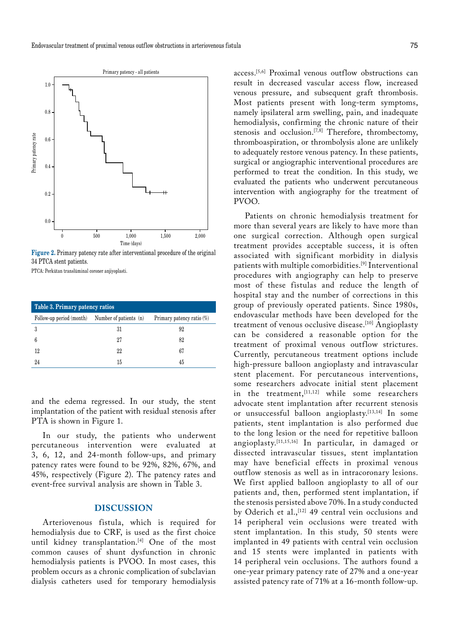

**Figure 2.** Primary patency rate after interventional procedure of the original 34 PTCA stent patients.

PTCA: Perkütan translüminal coroner anjiyoplasti.

| Table 3. Primary patency ratios                 |    |                           |  |  |  |
|-------------------------------------------------|----|---------------------------|--|--|--|
| Follow-up period (month) Number of patients (n) |    | Primary patency ratio (%) |  |  |  |
|                                                 | 31 | 92                        |  |  |  |
|                                                 | 27 | 82                        |  |  |  |
| 12                                              | 22 | 67                        |  |  |  |
| 9.4                                             | 15 | 45                        |  |  |  |

and the edema regressed. In our study, the stent implantation of the patient with residual stenosis after PTA is shown in Figure 1.

In our study, the patients who underwent percutaneous intervention were evaluated at 3, 6, 12, and 24-month follow-ups, and primary patency rates were found to be 92%, 82%, 67%, and 45%, respectively (Figure 2). The patency rates and event-free survival analysis are shown in Table 3.

## **DISCUSSION**

Arteriovenous fistula, which is required for hemodialysis due to CRF, is used as the first choice until kidney transplantation.<sup>[4]</sup> One of the most common causes of shunt dysfunction in chronic hemodialysis patients is PVOO. In most cases, this problem occurs as a chronic complication of subclavian dialysis catheters used for temporary hemodialysis

access.[5,6] Proximal venous outflow obstructions can result in decreased vascular access flow, increased venous pressure, and subsequent graft thrombosis. Most patients present with long-term symptoms, namely ipsilateral arm swelling, pain, and inadequate hemodialysis, confirming the chronic nature of their stenosis and occlusion.<sup>[7,8]</sup> Therefore, thrombectomy, thromboaspiration, or thrombolysis alone are unlikely to adequately restore venous patency. In these patients, surgical or angiographic interventional procedures are performed to treat the condition. In this study, we evaluated the patients who underwent percutaneous intervention with angiography for the treatment of PVOO.

Patients on chronic hemodialysis treatment for more than several years are likely to have more than one surgical correction. Although open surgical treatment provides acceptable success, it is often associated with significant morbidity in dialysis patients with multiple comorbidities.[9] Interventional procedures with angiography can help to preserve most of these fistulas and reduce the length of hospital stay and the number of corrections in this group of previously operated patients. Since 1980s, endovascular methods have been developed for the treatment of venous occlusive disease.<sup>[10]</sup> Angioplasty can be considered a reasonable option for the treatment of proximal venous outflow strictures. Currently, percutaneous treatment options include high-pressure balloon angioplasty and intravascular stent placement. For percutaneous interventions, some researchers advocate initial stent placement in the treatment, [11,12] while some researchers advocate stent implantation after recurrent stenosis or unsuccessful balloon angioplasty.[13,14] In some patients, stent implantation is also performed due to the long lesion or the need for repetitive balloon angioplasty.[11,15,16] In particular, in damaged or dissected intravascular tissues, stent implantation may have beneficial effects in proximal venous outflow stenosis as well as in intracoronary lesions. We first applied balloon angioplasty to all of our patients and, then, performed stent implantation, if the stenosis persisted above 70%. In a study conducted by Oderich et al.,<sup>[12]</sup> 49 central vein occlusions and 14 peripheral vein occlusions were treated with stent implantation. In this study, 50 stents were implanted in 49 patients with central vein occlusion and 15 stents were implanted in patients with 14 peripheral vein occlusions. The authors found a one-year primary patency rate of 27% and a one-year assisted patency rate of 71% at a 16-month follow-up.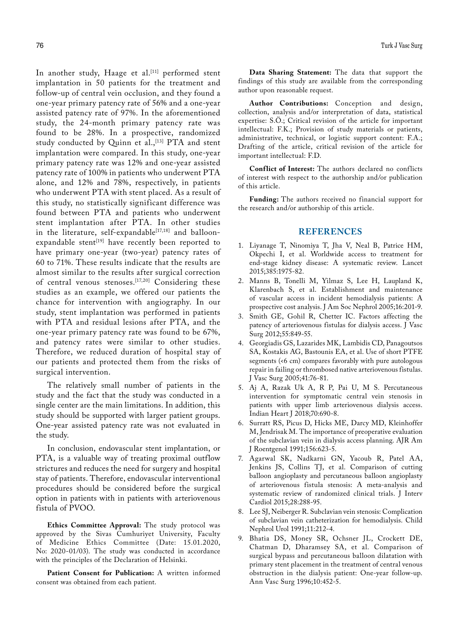In another study, Haage et al.<sup>[11]</sup> performed stent implantation in 50 patients for the treatment and follow-up of central vein occlusion, and they found a one-year primary patency rate of 56% and a one-year assisted patency rate of 97%. In the aforementioned study, the 24-month primary patency rate was found to be 28%. In a prospective, randomized study conducted by Quinn et al.,<sup>[13]</sup> PTA and stent implantation were compared. In this study, one-year primary patency rate was 12% and one-year assisted patency rate of 100% in patients who underwent PTA alone, and 12% and 78%, respectively, in patients who underwent PTA with stent placed. As a result of this study, no statistically significant difference was found between PTA and patients who underwent stent implantation after PTA. In other studies in the literature, self-expandable<sup>[17,18]</sup> and balloonexpandable stent<sup>[19]</sup> have recently been reported to have primary one-year (two-year) patency rates of 60 to 71%. These results indicate that the results are almost similar to the results after surgical correction of central venous stenoses.[17,20] Considering these studies as an example, we offered our patients the chance for intervention with angiography. In our study, stent implantation was performed in patients with PTA and residual lesions after PTA, and the one-year primary patency rate was found to be 67%, and patency rates were similar to other studies. Therefore, we reduced duration of hospital stay of our patients and protected them from the risks of surgical intervention.

The relatively small number of patients in the study and the fact that the study was conducted in a single center are the main limitations. In addition, this study should be supported with larger patient groups. One-year assisted patency rate was not evaluated in the study.

In conclusion, endovascular stent implantation, or PTA, is a valuable way of treating proximal outflow strictures and reduces the need for surgery and hospital stay of patients. Therefore, endovascular interventional procedures should be considered before the surgical option in patients with in patients with arteriovenous fistula of PVOO.

**Ethics Committee Approval:** The study protocol was approved by the Sivas Cumhuriyet University, Faculty of Medicine Ethics Committee (Date: 15.01.2020, No: 2020-01/03). The study was conducted in accordance with the principles of the Declaration of Helsinki.

Patient Consent for Publication: A written informed consent was obtained from each patient.

**Data Sharing Statement:** The data that support the findings of this study are available from the corresponding author upon reasonable request.

**Author Contributions:** Conception and design, collection, analysis and/or interpretation of data, statistical expertise: S.Ö.; Critical revision of the article for important intellectual: F.K.; Provision of study materials or patients, administrative, technical, or logistic support content: F.A.; Drafting of the article, critical revision of the article for important intellectual: F.D.

**Conflict of Interest:** The authors declared no conflicts of interest with respect to the authorship and/or publication of this article.

**Funding:** The authors received no financial support for the research and/or authorship of this article.

## **REFERENCES**

- 1. Liyanage T, Ninomiya T, Jha V, Neal B, Patrice HM, Okpechi I, et al. Worldwide access to treatment for end-stage kidney disease: A systematic review. Lancet 2015;385:1975-82.
- 2. Manns B, Tonelli M, Yilmaz S, Lee H, Laupland K, Klarenbach S, et al. Establishment and maintenance of vascular access in incident hemodialysis patients: A prospective cost analysis. J Am Soc Nephrol 2005;16:201-9.
- 3. Smith GE, Gohil R, Chetter IC. Factors affecting the patency of arteriovenous fistulas for dialysis access. J Vasc Surg 2012;55:849-55.
- 4. Georgiadis GS, Lazarides MK, Lambidis CD, Panagoutsos SA, Kostakis AG, Bastounis EA, et al. Use of short PTFE segments (<6 cm) compares favorably with pure autologous repair in failing or thrombosed native arteriovenous fistulas. J Vasc Surg 2005;41:76-81.
- 5. Aj A, Razak Uk A, R P, Pai U, M S. Percutaneous intervention for symptomatic central vein stenosis in patients with upper limb arteriovenous dialysis access. Indian Heart J 2018;70:690-8.
- 6. Surratt RS, Picus D, Hicks ME, Darcy MD, Kleinhoffer M, Jendrisak M. The importance of preoperative evaluation of the subclavian vein in dialysis access planning. AJR Am J Roentgenol 1991;156:623-5.
- 7. Agarwal SK, Nadkarni GN, Yacoub R, Patel AA, Jenkins JS, Collins TJ, et al. Comparison of cutting balloon angioplasty and percutaneous balloon angioplasty of arteriovenous fistula stenosis: A meta-analysis and systematic review of randomized clinical trials. J Interv Cardiol 2015;28:288-95.
- 8. Lee SJ, Neiberger R. Subclavian vein stenosis: Complication of subclavian vein catheterization for hemodialysis. Child Nephrol Urol 1991;11:212-4.
- 9. Bhatia DS, Money SR, Ochsner JL, Crockett DE, Chatman D, Dharamsey SA, et al. Comparison of surgical bypass and percutaneous balloon dilatation with primary stent placement in the treatment of central venous obstruction in the dialysis patient: One-year follow-up. Ann Vasc Surg 1996;10:452-5.